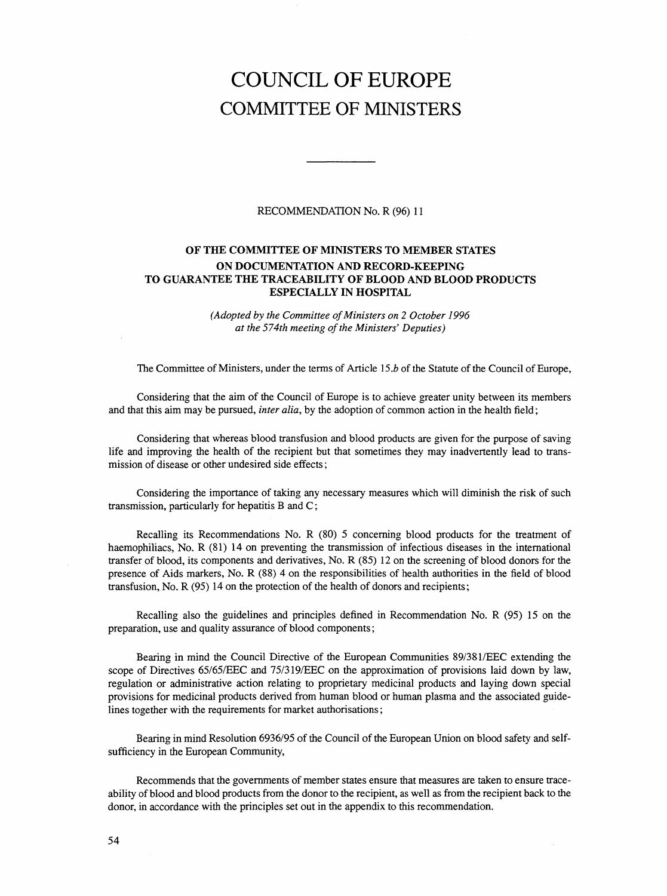# COUNCIL OF EUROPE COMMITTEE OF MINISTERS

## RECOMMENDATION No. R (96) 11

# OF THE COMMITTEE OF MINISTERS TO MEMBER STATES ON DOCUMENTATION AND RECORD-KEEPING TO GUARANTEE THE TRACEABILITY OF BLOOD AND BLOOD PRODUCTS ESPECIALLY IN HOSPITAL

(Adopted by the Committee of Ministers on 2 October 1996 at the 574th meeting of the Ministers' Deputies)

The Committee of Ministers, under the terms of Article 15.b of the Statute of the Council of Europe,

Considering that the aim of the Council of Europe is to achieve greater unity between its members and that this aim may be pursued, *inter alia*, by the adoption of common action in the health field;

Considering that whereas blood transfusion and blood products are given for the purpose of saving life and improving the health of the recipient but that sometimes they may inadvertently lead to transmission of disease or other undesired side effects;

Considering the importance of taking any necessary measures which will diminish the risk of such transmission, particularly for hepatitis B and C;

Recalling its Recommendations No. R (80) 5 concerning blood products for the treatment of haemophiliacs, No. R (81) 14 on preventing the transmission of infectious diseases in the international transfer of blood, its components and derivatives, No. R (85) 12 on the screening of blood donors for the presence of Aids markers, No. R (88) 4 on the responsibilities of health authorities in the field of blood transfusion, No. R (95) 14 on the protection of the health of donors and recipients;

Recalling also the guidelines and principles defined in Recommendation No. R (95) 15 on the preparation, use and quality assurance of blood components;

Bearing in mind the Council Directive of the European Communities 89/381/EEC extending the scope of Directives 65/65/EEC and 75/319/EEC on the approximation of provisions laid down by law, regulation or administrative action relating to proprietary medicinal products and laying down special provisions for medicinal products derived from human blood or human plasma and the associated guidelines together with the requirements for market authorisations;

Bearing in mind Resolution 6936/95 of the Council of the European Union on blood safety and selfsufficiency in the European Community,

Recommends that the governments of member states ensure that measures are taken to ensure traceability of blood and blood products from the donor to the recipient, as well as from the recipient back to the donor, in accordance with the principles set out in the appendix to this recommendation.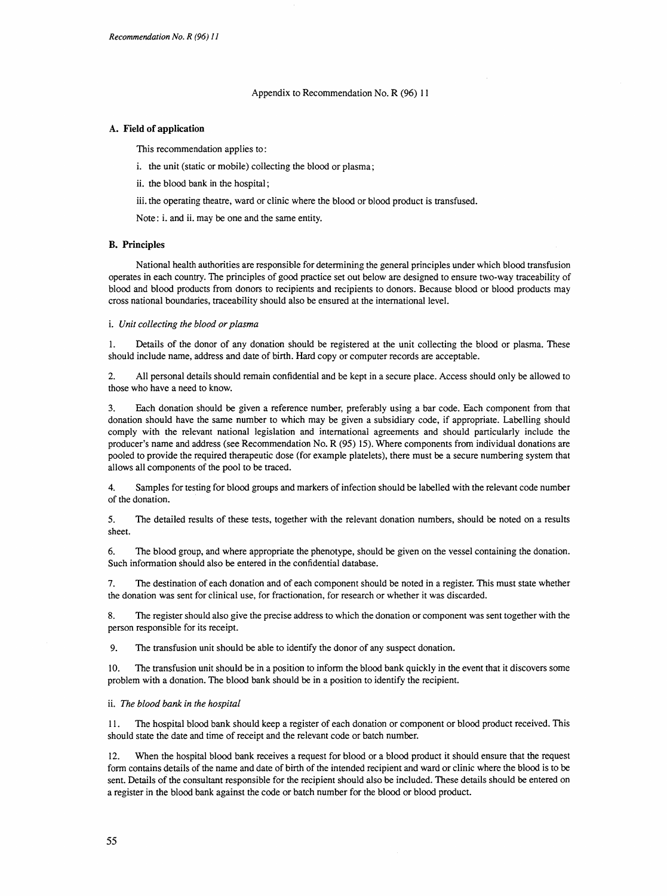Appendix to Recommendation No. R (96) 11

#### A. Field of application

This recommendation applies to:

- i. the unit (static or mobile) collecting the blood or plasma;
- ii. the blood bank in the hospital;
- iii. the operating theatre, ward or clinic where the blood or blood product is transfused.
- Note: i. and ii. may be one and the same entity.

#### B. Principles

National health authorities are responsible for determining the general principles under which blood transfusion operates in each country. The principles of good practice set out below are designed to ensure two-way traceability of blood and blood products from donors to recipients and recipients to donors. Because blood or blood products may cross national boundaries, traceability should also be ensured at the international level.

#### i. Unit collecting the blood or plasma

1. Details of the donor of any donation should be registered at the unit collecting the blood or plasma. These should include name, address and date of birth. Hard copy or computer records are acceptable.

2. All personal details should remain confidential and be kept in a secure place. Access should only be allowed to those who have a need to know.

3. Each donation should be given a reference number, preferably using a bar code. Each component from that donation should have the same number to which may be given a subsidiary code, if appropriate. Labelling should comply with the relevant national legislation and international agreements and should particularly include the producer's name and address (see Recommendation No. R (95) 15). Where components from individual donations are pooled to provide the required therapeutic dose (for example platelets), there must be a secure numbering system that allows all components of the pool to be traced.

4. Samples for testing for blood groups and markers of infection should be labelled with the relevant code number of the donation.

5. The detailed results of these tests, together with the relevant donation numbers, should be noted on a results sheet.

6. The blood group, and where appropriate the phenotype, should be given on the vessel containing the donation. Such information should also be entered in the confidential database.

7. The destination of each donation and of each component should be noted in a register. This must state whether the donation was sent for clinical use, for fractionation, for research or whether it was discarded.

8. The register should also give the precise address to which the donation or component was sent together with the person responsible for its receipt.

9. The transfusion unit should be able to identify the donor of any suspect donation.

10. The transfusion unit should be in a position to inform the blood bank quickly in the event that it discovers some problem with a donation. The blood bank should be in a position to identify the recipient.

#### ii. The blood bank in the hospital

11. The hospital blood bank should keep a register of each donation or component or blood product received. This should state the date and time of receipt and the relevant code or batch number.

12. When the hospital blood bank receives a request for blood or a blood product it should ensure that the request form contains details of the name and date of birth of the intended recipient and ward or clinic where the blood is to be sent. Details of the consultant responsible for the recipient should also be included. These details should be entered on a register in the blood bank against the code or batch number for the blood or blood product.